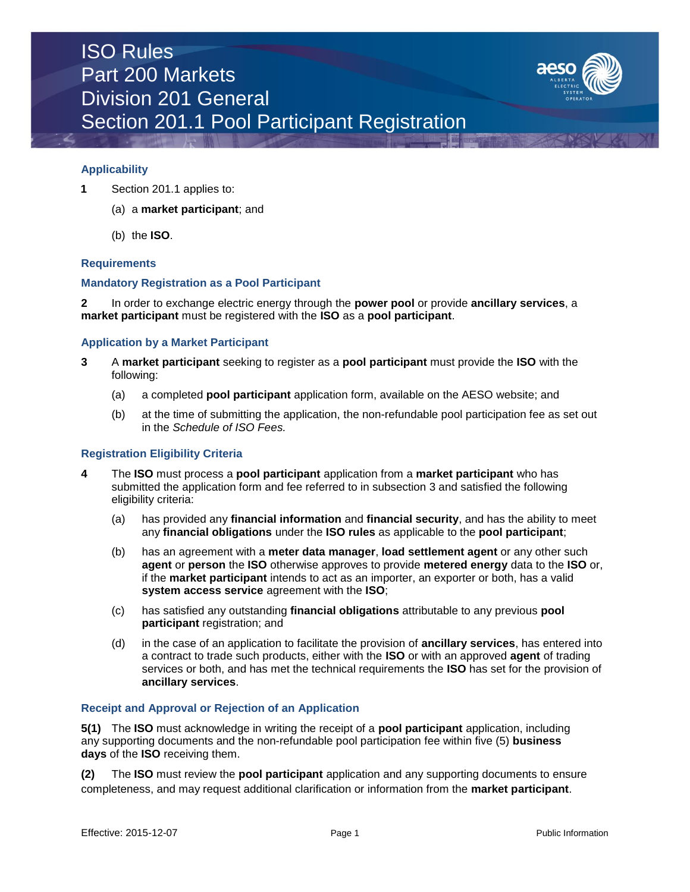

## **Applicability**

- **1** Section 201.1 applies to:
	- (a) a **market participant**; and
	- (b) the **ISO**.

## **Requirements**

## **Mandatory Registration as a Pool Participant**

**2** In order to exchange electric energy through the **power pool** or provide **ancillary services**, a **market participant** must be registered with the **ISO** as a **pool participant**.

### **Application by a Market Participant**

- **3** A **market participant** seeking to register as a **pool participant** must provide the **ISO** with the following:
	- (a) a completed **pool participant** application form, available on the AESO website; and
	- (b) at the time of submitting the application, the non-refundable pool participation fee as set out in the *Schedule of ISO Fees.*

## **Registration Eligibility Criteria**

- **4** The **ISO** must process a **pool participant** application from a **market participant** who has submitted the application form and fee referred to in subsection 3 and satisfied the following eligibility criteria:
	- (a) has provided any **financial information** and **financial security**, and has the ability to meet any **financial obligations** under the **ISO rules** as applicable to the **pool participant**;
	- (b) has an agreement with a **meter data manager**, **load settlement agent** or any other such **agent** or **person** the **ISO** otherwise approves to provide **metered energy** data to the **ISO** or, if the **market participant** intends to act as an importer, an exporter or both, has a valid **system access service** agreement with the **ISO**;
	- (c) has satisfied any outstanding **financial obligations** attributable to any previous **pool participant** registration; and
	- (d) in the case of an application to facilitate the provision of **ancillary services**, has entered into a contract to trade such products, either with the **ISO** or with an approved **agent** of trading services or both, and has met the technical requirements the **ISO** has set for the provision of **ancillary services**.

#### **Receipt and Approval or Rejection of an Application**

**5(1)** The **ISO** must acknowledge in writing the receipt of a **pool participant** application, including any supporting documents and the non-refundable pool participation fee within five (5) **business days** of the **ISO** receiving them.

**(2)** The **ISO** must review the **pool participant** application and any supporting documents to ensure completeness, and may request additional clarification or information from the **market participant**.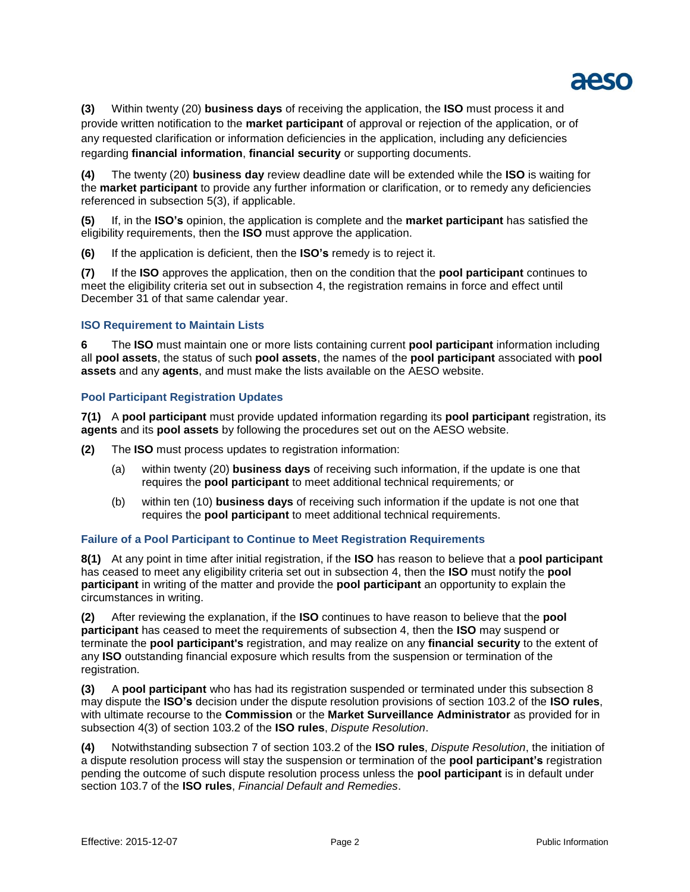

**(3)** Within twenty (20) **business days** of receiving the application, the **ISO** must process it and provide written notification to the **market participant** of approval or rejection of the application, or of any requested clarification or information deficiencies in the application, including any deficiencies regarding **financial information**, **financial security** or supporting documents.

**(4)** The twenty (20) **business day** review deadline date will be extended while the **ISO** is waiting for the **market participant** to provide any further information or clarification, or to remedy any deficiencies referenced in subsection 5(3), if applicable.

**(5)** If, in the **ISO's** opinion, the application is complete and the **market participant** has satisfied the eligibility requirements, then the **ISO** must approve the application.

**(6)** If the application is deficient, then the **ISO's** remedy is to reject it.

**(7)** If the **ISO** approves the application, then on the condition that the **pool participant** continues to meet the eligibility criteria set out in subsection 4, the registration remains in force and effect until December 31 of that same calendar year.

# **ISO Requirement to Maintain Lists**

**6** The **ISO** must maintain one or more lists containing current **pool participant** information including all **pool assets**, the status of such **pool assets**, the names of the **pool participant** associated with **pool assets** and any **agents**, and must make the lists available on the AESO website.

# **Pool Participant Registration Updates**

**7(1)** A **pool participant** must provide updated information regarding its **pool participant** registration, its **agents** and its **pool assets** by following the procedures set out on the AESO website*.*

**(2)** The **ISO** must process updates to registration information:

- (a) within twenty (20) **business days** of receiving such information, if the update is one that requires the **pool participant** to meet additional technical requirements*;* or
- (b) within ten (10) **business days** of receiving such information if the update is not one that requires the **pool participant** to meet additional technical requirements.

## **Failure of a Pool Participant to Continue to Meet Registration Requirements**

**8(1)** At any point in time after initial registration, if the **ISO** has reason to believe that a **pool participant** has ceased to meet any eligibility criteria set out in subsection 4, then the **ISO** must notify the **pool participant** in writing of the matter and provide the **pool participant** an opportunity to explain the circumstances in writing.

**(2)** After reviewing the explanation, if the **ISO** continues to have reason to believe that the **pool participant** has ceased to meet the requirements of subsection 4, then the **ISO** may suspend or terminate the **pool participant's** registration, and may realize on any **financial security** to the extent of any **ISO** outstanding financial exposure which results from the suspension or termination of the registration.

**(3)** A **pool participant** who has had its registration suspended or terminated under this subsection 8 may dispute the **ISO's** decision under the dispute resolution provisions of section 103.2 of the **ISO rules**, with ultimate recourse to the **Commission** or the **Market Surveillance Administrator** as provided for in subsection 4(3) of section 103.2 of the **ISO rules**, *Dispute Resolution*.

**(4)** Notwithstanding subsection 7 of section 103.2 of the **ISO rules**, *Dispute Resolution*, the initiation of a dispute resolution process will stay the suspension or termination of the **pool participant's** registration pending the outcome of such dispute resolution process unless the **pool participant** is in default under section 103.7 of the **ISO rules**, *Financial Default and Remedies*.